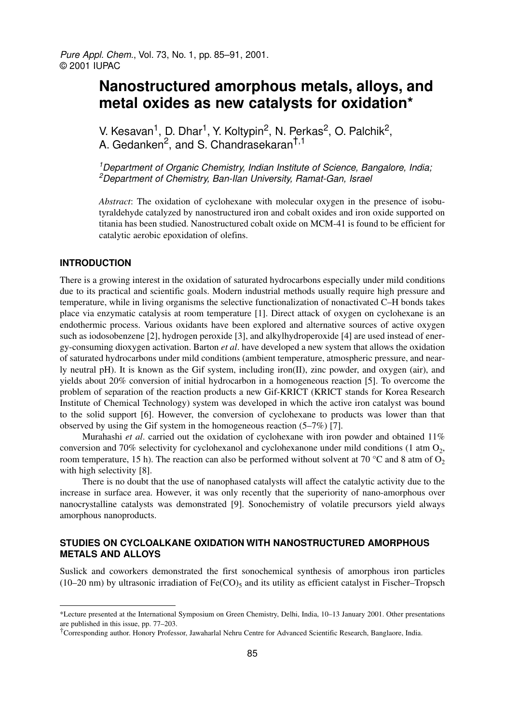# **Nanostructured amorphous metals, alloys, and metal oxides as new catalysts for oxidation\***

V. Kesavan<sup>1</sup>, D. Dhar<sup>1</sup>, Y. Koltypin<sup>2</sup>, N. Perkas<sup>2</sup>, O. Palchik<sup>2</sup>, A. Gedanken<sup>2</sup>, and S. Chandrasekaran<sup>†,1</sup>

<sup>1</sup>Department of Organic Chemistry, Indian Institute of Science, Bangalore, India; <sup>2</sup>Department of Chemistry, Ban-Ilan University, Ramat-Gan, Israel

*Abstract*: The oxidation of cyclohexane with molecular oxygen in the presence of isobutyraldehyde catalyzed by nanostructured iron and cobalt oxides and iron oxide supported on titania has been studied. Nanostructured cobalt oxide on MCM-41 is found to be efficient for catalytic aerobic epoxidation of olefins.

## **INTRODUCTION**

There is a growing interest in the oxidation of saturated hydrocarbons especially under mild conditions due to its practical and scientific goals. Modern industrial methods usually require high pressure and temperature, while in living organisms the selective functionalization of nonactivated C–H bonds takes place via enzymatic catalysis at room temperature [1]. Direct attack of oxygen on cyclohexane is an endothermic process. Various oxidants have been explored and alternative sources of active oxygen such as iodosobenzene [2], hydrogen peroxide [3], and alkylhydroperoxide [4] are used instead of energy-consuming dioxygen activation. Barton *et al*. have developed a new system that allows the oxidation of saturated hydrocarbons under mild conditions (ambient temperature, atmospheric pressure, and nearly neutral pH). It is known as the Gif system, including iron(II), zinc powder, and oxygen (air), and yields about 20% conversion of initial hydrocarbon in a homogeneous reaction [5]. To overcome the problem of separation of the reaction products a new Gif-KRICT (KRICT stands for Korea Research Institute of Chemical Technology) system was developed in which the active iron catalyst was bound to the solid support [6]. However, the conversion of cyclohexane to products was lower than that observed by using the Gif system in the homogeneous reaction (5–7%) [7].

Murahashi *et al*. carried out the oxidation of cyclohexane with iron powder and obtained 11% conversion and 70% selectivity for cyclohexanol and cyclohexanone under mild conditions (1 atm  $O_2$ , room temperature, 15 h). The reaction can also be performed without solvent at 70 °C and 8 atm of  $O_2$ with high selectivity [8].

There is no doubt that the use of nanophased catalysts will affect the catalytic activity due to the increase in surface area. However, it was only recently that the superiority of nano-amorphous over nanocrystalline catalysts was demonstrated [9]. Sonochemistry of volatile precursors yield always amorphous nanoproducts.

# **STUDIES ON CYCLOALKANE OXIDATION WITH NANOSTRUCTURED AMORPHOUS METALS AND ALLOYS**

Suslick and coworkers demonstrated the first sonochemical synthesis of amorphous iron particles (10–20 nm) by ultrasonic irradiation of  $Fe(CO)_5$  and its utility as efficient catalyst in Fischer–Tropsch

<sup>\*</sup>Lecture presented at the International Symposium on Green Chemistry, Delhi, India, 10–13 January 2001. Other presentations are published in this issue, pp. 77–203.

<sup>†</sup>Corresponding author. Honory Professor, Jawaharlal Nehru Centre for Advanced Scientific Research, Banglaore, India.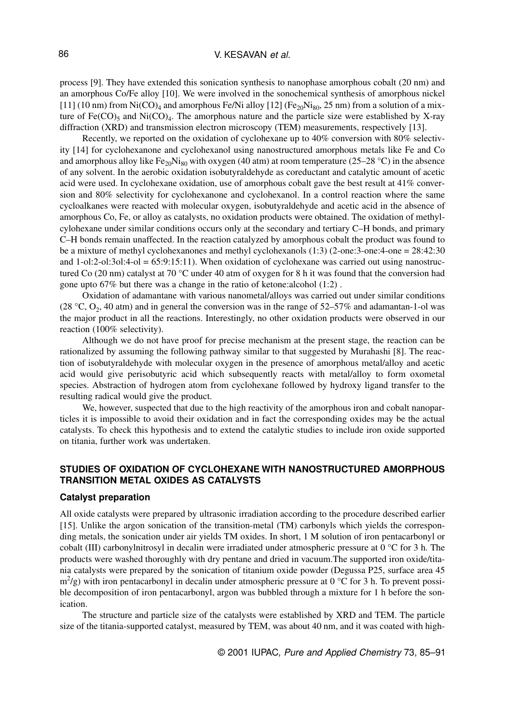process [9]. They have extended this sonication synthesis to nanophase amorphous cobalt (20 nm) and an amorphous Co/Fe alloy [10]. We were involved in the sonochemical synthesis of amorphous nickel [11] (10 nm) from Ni(CO)<sub>4</sub> and amorphous Fe/Ni alloy [12] (Fe<sub>20</sub>Ni<sub>80</sub>, 25 nm) from a solution of a mixture of  $Fe(CO)_5$  and  $Ni(CO)_4$ . The amorphous nature and the particle size were established by X-ray diffraction (XRD) and transmission electron microscopy (TEM) measurements, respectively [13].

Recently, we reported on the oxidation of cyclohexane up to 40% conversion with 80% selectivity [14] for cyclohexanone and cyclohexanol using nanostructured amorphous metals like Fe and Co and amorphous alloy like Fe<sub>20</sub>Ni<sub>80</sub> with oxygen (40 atm) at room temperature (25–28 °C) in the absence of any solvent. In the aerobic oxidation isobutyraldehyde as coreductant and catalytic amount of acetic acid were used. In cyclohexane oxidation, use of amorphous cobalt gave the best result at 41% conversion and 80% selectivity for cyclohexanone and cyclohexanol. In a control reaction where the same cycloalkanes were reacted with molecular oxygen, isobutyraldehyde and acetic acid in the absence of amorphous Co, Fe, or alloy as catalysts, no oxidation products were obtained. The oxidation of methylcylohexane under similar conditions occurs only at the secondary and tertiary C–H bonds, and primary C–H bonds remain unaffected. In the reaction catalyzed by amorphous cobalt the product was found to be a mixture of methyl cyclohexanones and methyl cyclohexanols (1:3) (2-one:3-one:4-one = 28:42:30 and  $1$ -ol:2-ol:3ol:4-ol = 65:9:15:11). When oxidation of cyclohexane was carried out using nanostructured Co (20 nm) catalyst at 70  $^{\circ}$ C under 40 atm of oxygen for 8 h it was found that the conversion had gone upto 67% but there was a change in the ratio of ketone:alcohol (1:2) .

Oxidation of adamantane with various nanometal/alloys was carried out under similar conditions (28 °C,  $O_2$ , 40 atm) and in general the conversion was in the range of 52–57% and adamantan-1-ol was the major product in all the reactions. Interestingly, no other oxidation products were observed in our reaction (100% selectivity).

Although we do not have proof for precise mechanism at the present stage, the reaction can be rationalized by assuming the following pathway similar to that suggested by Murahashi [8]. The reaction of isobutyraldehyde with molecular oxygen in the presence of amorphous metal/alloy and acetic acid would give perisobutyric acid which subsequently reacts with metal/alloy to form oxometal species. Abstraction of hydrogen atom from cyclohexane followed by hydroxy ligand transfer to the resulting radical would give the product.

We, however, suspected that due to the high reactivity of the amorphous iron and cobalt nanoparticles it is impossible to avoid their oxidation and in fact the corresponding oxides may be the actual catalysts. To check this hypothesis and to extend the catalytic studies to include iron oxide supported on titania, further work was undertaken.

## **STUDIES OF OXIDATION OF CYCLOHEXANE WITH NANOSTRUCTURED AMORPHOUS TRANSITION METAL OXIDES AS CATALYSTS**

#### **Catalyst preparation**

All oxide catalysts were prepared by ultrasonic irradiation according to the procedure described earlier [15]. Unlike the argon sonication of the transition-metal (TM) carbonyls which yields the corresponding metals, the sonication under air yields TM oxides. In short, 1 M solution of iron pentacarbonyl or cobalt (III) carbonylnitrosyl in decalin were irradiated under atmospheric pressure at 0 °C for 3 h. The products were washed thoroughly with dry pentane and dried in vacuum.The supported iron oxide/titania catalysts were prepared by the sonication of titanium oxide powder (Degussa P25, surface area 45  $\text{m}^2$ /g) with iron pentacarbonyl in decalin under atmospheric pressure at 0 °C for 3 h. To prevent possible decomposition of iron pentacarbonyl, argon was bubbled through a mixture for 1 h before the sonication.

The structure and particle size of the catalysts were established by XRD and TEM. The particle size of the titania-supported catalyst, measured by TEM, was about 40 nm, and it was coated with high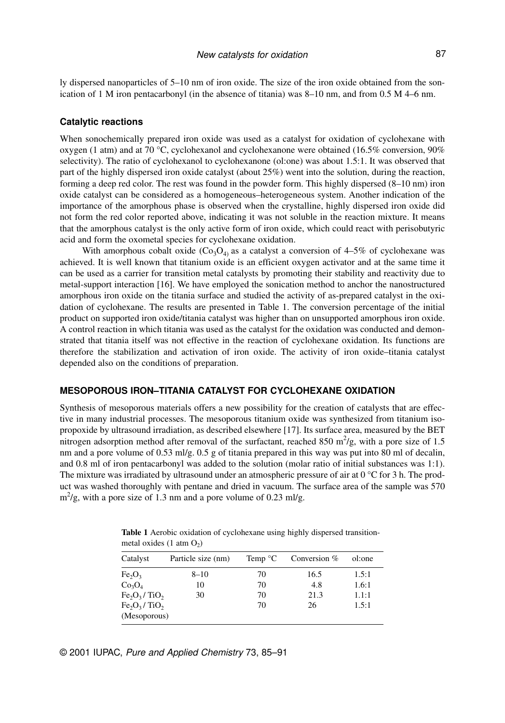ly dispersed nanoparticles of 5–10 nm of iron oxide. The size of the iron oxide obtained from the sonication of 1 M iron pentacarbonyl (in the absence of titania) was 8–10 nm, and from 0.5 M 4–6 nm.

#### **Catalytic reactions**

When sonochemically prepared iron oxide was used as a catalyst for oxidation of cyclohexane with oxygen (1 atm) and at 70 °C, cyclohexanol and cyclohexanone were obtained (16.5% conversion, 90% selectivity). The ratio of cyclohexanol to cyclohexanone (ol:one) was about 1.5:1. It was observed that part of the highly dispersed iron oxide catalyst (about 25%) went into the solution, during the reaction, forming a deep red color. The rest was found in the powder form. This highly dispersed (8–10 nm) iron oxide catalyst can be considered as a homogeneous–heterogeneous system. Another indication of the importance of the amorphous phase is observed when the crystalline, highly dispersed iron oxide did not form the red color reported above, indicating it was not soluble in the reaction mixture. It means that the amorphous catalyst is the only active form of iron oxide, which could react with perisobutyric acid and form the oxometal species for cyclohexane oxidation.

With amorphous cobalt oxide  $(Co<sub>3</sub>O<sub>4</sub>)$  as a catalyst a conversion of 4–5% of cyclohexane was achieved. It is well known that titanium oxide is an efficient oxygen activator and at the same time it can be used as a carrier for transition metal catalysts by promoting their stability and reactivity due to metal-support interaction [16]. We have employed the sonication method to anchor the nanostructured amorphous iron oxide on the titania surface and studied the activity of as-prepared catalyst in the oxidation of cyclohexane. The results are presented in Table 1. The conversion percentage of the initial product on supported iron oxide/titania catalyst was higher than on unsupported amorphous iron oxide. A control reaction in which titania was used as the catalyst for the oxidation was conducted and demonstrated that titania itself was not effective in the reaction of cyclohexane oxidation. Its functions are therefore the stabilization and activation of iron oxide. The activity of iron oxide–titania catalyst depended also on the conditions of preparation.

#### **MESOPOROUS IRON–TITANIA CATALYST FOR CYCLOHEXANE OXIDATION**

Synthesis of mesoporous materials offers a new possibility for the creation of catalysts that are effective in many industrial processes. The mesoporous titanium oxide was synthesized from titanium isopropoxide by ultrasound irradiation, as described elsewhere [17]. Its surface area, measured by the BET nitrogen adsorption method after removal of the surfactant, reached 850  $\mathrm{m}^2/\mathrm{g}$ , with a pore size of 1.5 nm and a pore volume of 0.53 ml/g. 0.5 g of titania prepared in this way was put into 80 ml of decalin, and 0.8 ml of iron pentacarbonyl was added to the solution (molar ratio of initial substances was 1:1). The mixture was irradiated by ultrasound under an atmospheric pressure of air at  $0^{\circ}$ C for 3 h. The product was washed thoroughly with pentane and dried in vacuum. The surface area of the sample was 570  $\text{m}^2/\text{g}$ , with a pore size of 1.3 nm and a pore volume of 0.23 ml/g.

| Catalyst                       | Particle size (nm) | Temp $\mathrm{C}$ | Conversion $%$ | ol:one |
|--------------------------------|--------------------|-------------------|----------------|--------|
| Fe <sub>2</sub> O <sub>3</sub> | $8 - 10$           | 70                | 16.5           | 1.5:1  |
| Co <sub>3</sub> O <sub>4</sub> | 10                 | 70                | 4.8            | 1.6:1  |
| $Fe2O3$ /TiO <sub>2</sub>      | 30                 | 70                | 21.3           | 1.1:1  |
| $Fe2O3/TiO2$                   |                    | 70                | 26             | 1.5:1  |
| (Mesoporous)                   |                    |                   |                |        |

**Table 1** Aerobic oxidation of cyclohexane using highly dispersed transitionmetal oxides  $(1 \t{atm } O_2)$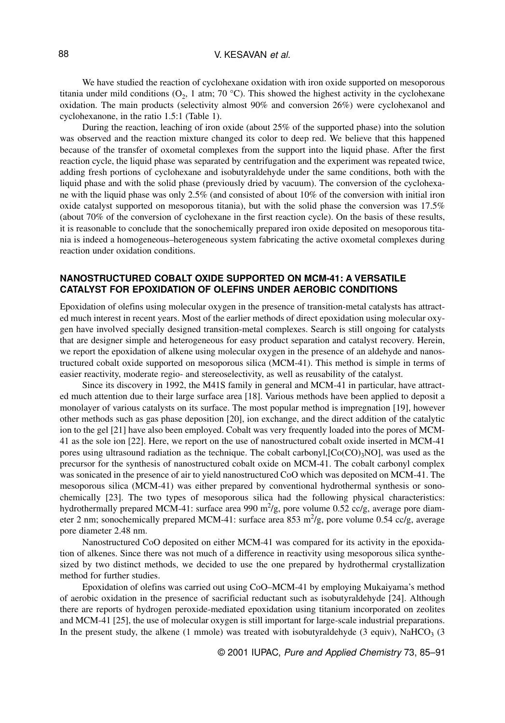#### V. KESAVAN et al.

We have studied the reaction of cyclohexane oxidation with iron oxide supported on mesoporous titania under mild conditions  $(O_2, 1 \text{ atm}; 70 \text{ °C})$ . This showed the highest activity in the cyclohexane oxidation. The main products (selectivity almost 90% and conversion 26%) were cyclohexanol and cyclohexanone, in the ratio 1.5:1 (Table 1).

During the reaction, leaching of iron oxide (about 25% of the supported phase) into the solution was observed and the reaction mixture changed its color to deep red. We believe that this happened because of the transfer of oxometal complexes from the support into the liquid phase. After the first reaction cycle, the liquid phase was separated by centrifugation and the experiment was repeated twice, adding fresh portions of cyclohexane and isobutyraldehyde under the same conditions, both with the liquid phase and with the solid phase (previously dried by vacuum). The conversion of the cyclohexane with the liquid phase was only 2.5% (and consisted of about 10% of the conversion with initial iron oxide catalyst supported on mesoporous titania), but with the solid phase the conversion was 17.5% (about 70% of the conversion of cyclohexane in the first reaction cycle). On the basis of these results, it is reasonable to conclude that the sonochemically prepared iron oxide deposited on mesoporous titania is indeed a homogeneous–heterogeneous system fabricating the active oxometal complexes during reaction under oxidation conditions.

## **NANOSTRUCTURED COBALT OXIDE SUPPORTED ON MCM-41: A VERSATILE CATALYST FOR EPOXIDATION OF OLEFINS UNDER AEROBIC CONDITIONS**

Epoxidation of olefins using molecular oxygen in the presence of transition-metal catalysts has attracted much interest in recent years. Most of the earlier methods of direct epoxidation using molecular oxygen have involved specially designed transition-metal complexes. Search is still ongoing for catalysts that are designer simple and heterogeneous for easy product separation and catalyst recovery. Herein, we report the epoxidation of alkene using molecular oxygen in the presence of an aldehyde and nanostructured cobalt oxide supported on mesoporous silica (MCM-41). This method is simple in terms of easier reactivity, moderate regio- and stereoselectivity, as well as reusability of the catalyst.

Since its discovery in 1992, the M41S family in general and MCM-41 in particular, have attracted much attention due to their large surface area [18]. Various methods have been applied to deposit a monolayer of various catalysts on its surface. The most popular method is impregnation [19], however other methods such as gas phase deposition [20], ion exchange, and the direct addition of the catalytic ion to the gel [21] have also been employed. Cobalt was very frequently loaded into the pores of MCM-41 as the sole ion [22]. Here, we report on the use of nanostructured cobalt oxide inserted in MCM-41 pores using ultrasound radiation as the technique. The cobalt carbonyl, $[Co(CO)<sub>3</sub>NO]$ , was used as the precursor for the synthesis of nanostructured cobalt oxide on MCM-41. The cobalt carbonyl complex was sonicated in the presence of air to yield nanostructured CoO which was deposited on MCM-41. The mesoporous silica (MCM-41) was either prepared by conventional hydrothermal synthesis or sonochemically [23]. The two types of mesoporous silica had the following physical characteristics: hydrothermally prepared MCM-41: surface area 990 m<sup>2</sup>/g, pore volume 0.52 cc/g, average pore diameter 2 nm; sonochemically prepared MCM-41: surface area 853 m<sup>2</sup>/g, pore volume 0.54 cc/g, average pore diameter 2.48 nm.

Nanostructured CoO deposited on either MCM-41 was compared for its activity in the epoxidation of alkenes. Since there was not much of a difference in reactivity using mesoporous silica synthesized by two distinct methods, we decided to use the one prepared by hydrothermal crystallization method for further studies.

Epoxidation of olefins was carried out using CoO–MCM-41 by employing Mukaiyama's method of aerobic oxidation in the presence of sacrificial reductant such as isobutyraldehyde [24]. Although there are reports of hydrogen peroxide-mediated epoxidation using titanium incorporated on zeolites and MCM-41 [25], the use of molecular oxygen is still important for large-scale industrial preparations. In the present study, the alkene  $(1 \text{ mmole})$  was treated with isobutyraldehyde  $(3 \text{ equiv})$ , NaHCO<sub>3</sub>  $(3 \text{ equiv})$ 

© 2001 IUPAC, Pure and Applied Chemistry 73, 85–91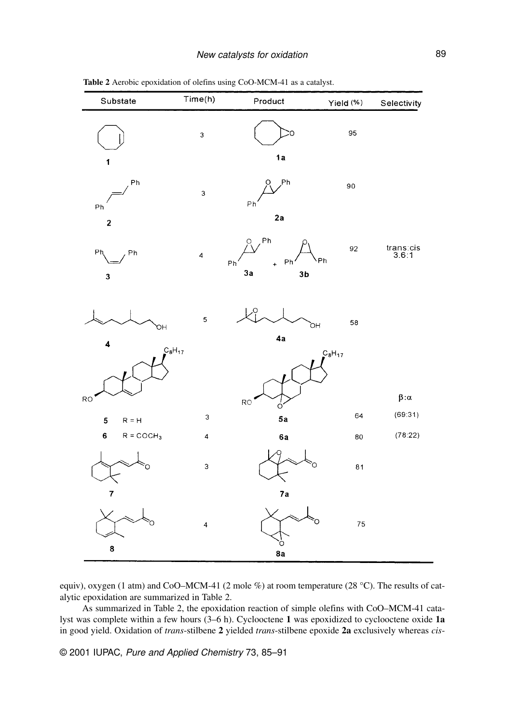| Substate                      | Time(h)                 | Product                                                                 | Yield (%)   | Selectivity                                                              |
|-------------------------------|-------------------------|-------------------------------------------------------------------------|-------------|--------------------------------------------------------------------------|
| 1                             | $\mathsf 3$             | Ö<br>1a                                                                 | 95          |                                                                          |
| Ph<br>Ph                      | 3                       | <b>Ph</b><br>O<br>Ph                                                    | 90          |                                                                          |
| $\mathbf{2}$<br>Ph<br>Ph<br>3 | $\overline{\mathbf{4}}$ | 2a<br>Q, Ph<br>.<br>Ph<br>Ph<br>Ph<br>$\ddot{}$<br>3a<br>3 <sub>b</sub> | 92          | ${\small \begin{array}{c} \text{trans:cis} \\ \text{3.6:1} \end{array}}$ |
| OН<br>$\overline{\mathbf{4}}$ | $\overline{\mathbf{5}}$ | o.<br>'nО<br>4a                                                         | 58          |                                                                          |
| $C_8H_{17}$<br><b>RO</b>      |                         | RO<br>Ó                                                                 | $C_8H_{17}$ | $\beta\!:\!\alpha$                                                       |
| 5<br>$R = H$                  | 3                       | 5a                                                                      | 64          | (69:31)                                                                  |
| $\bf 6$<br>$R = COCH3$        | 4                       | 6a                                                                      | 80          | (78:22)                                                                  |
| Ö                             | 3                       | O                                                                       | 81          |                                                                          |
| $\overline{7}$<br>8           | $\overline{\mathbf{4}}$ | 7a<br>O<br>ò<br>8a                                                      | 75          |                                                                          |

**Table 2** Aerobic epoxidation of olefins using CoO-MCM-41 as a catalyst.

equiv), oxygen (1 atm) and CoO–MCM-41 (2 mole %) at room temperature (28 °C). The results of catalytic epoxidation are summarized in Table 2.

As summarized in Table 2, the epoxidation reaction of simple olefins with CoO–MCM-41 catalyst was complete within a few hours (3–6 h). Cyclooctene **1** was epoxidized to cyclooctene oxide **1a** in good yield. Oxidation of *trans*-stilbene **2** yielded *trans*-stilbene epoxide **2a** exclusively whereas *cis*-

© 2001 IUPAC, Pure and Applied Chemistry 73, 85–91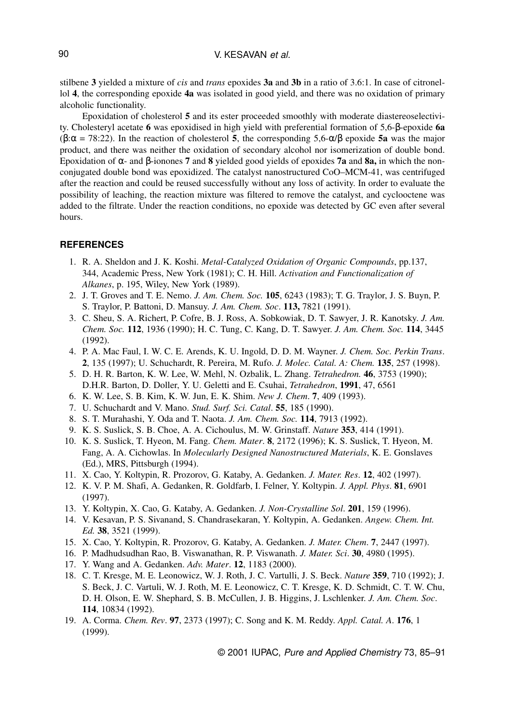stilbene **3** yielded a mixture of *cis* and *trans* epoxides **3a** and **3b** in a ratio of 3.6:1. In case of citronellol **4**, the corresponding epoxide **4a** was isolated in good yield, and there was no oxidation of primary alcoholic functionality.

Epoxidation of cholesterol **5** and its ester proceeded smoothly with moderate diastereoselectivity. Cholesteryl acetate **6** was epoxidised in high yield with preferential formation of 5,6-β-epoxide **6a** (β:α = 78:22). In the reaction of cholesterol **5**, the corresponding 5,6-α/β epoxide **5a** was the major product, and there was neither the oxidation of secondary alcohol nor isomerization of double bond. Epoxidation of α- and β-ionones **7** and **8** yielded good yields of epoxides **7a** and **8a,** in which the nonconjugated double bond was epoxidized. The catalyst nanostructured CoO–MCM-41, was centrifuged after the reaction and could be reused successfully without any loss of activity. In order to evaluate the possibility of leaching, the reaction mixture was filtered to remove the catalyst, and cyclooctene was added to the filtrate. Under the reaction conditions, no epoxide was detected by GC even after several hours.

## **REFERENCES**

- 1. R. A. Sheldon and J. K. Koshi. *Metal-Catalyzed Oxidation of Organic Compounds*, pp.137, 344, Academic Press, New York (1981); C. H. Hill. *Activation and Functionalization of Alkanes*, p. 195, Wiley, New York (1989).
- 2. J. T. Groves and T. E. Nemo. *J. Am. Chem. Soc.* **105**, 6243 (1983); T. G. Traylor, J. S. Buyn, P. S. Traylor, P. Battoni, D. Mansuy. *J. Am. Chem. Soc*. **113,** 7821 (1991).
- 3. C. Sheu, S. A. Richert, P. Cofre, B. J. Ross, A. Sobkowiak, D. T. Sawyer, J. R. Kanotsky. *J. Am. Chem. Soc.* **112**, 1936 (1990); H. C. Tung, C. Kang, D. T. Sawyer. *J. Am. Chem. Soc.* **114**, 3445 (1992).
- 4. P. A. Mac Faul, I. W. C. E. Arends, K. U. Ingold, D. D. M. Wayner. *J. Chem. Soc. Perkin Trans*. **2**, 135 (1997); U. Schuchardt, R. Pereira, M. Rufo. *J. Molec. Catal. A: Chem.* **135**, 257 (1998).
- 5. D. H. R. Barton, K. W. Lee, W. Mehl, N. Ozbalik, L. Zhang. *Tetrahedron.* **46**, 3753 (1990); D.H.R. Barton, D. Doller, Y. U. Geletti and E. Csuhai, *Tetrahedron*, **1991**, 47, 6561
- 6. K. W. Lee, S. B. Kim, K. W. Jun, E. K. Shim. *New J. Chem*. **7**, 409 (1993).
- 7. U. Schuchardt and V. Mano. *Stud. Surf. Sci. Catal*. **55**, 185 (1990).
- 8. S. T. Murahashi, Y. Oda and T. Naota. *J. Am. Chem. Soc.* **114**, 7913 (1992).
- 9. K. S. Suslick, S. B. Choe, A. A. Cichoulus, M. W. Grinstaff. *Nature* **353**, 414 (1991).
- 10. K. S. Suslick, T. Hyeon, M. Fang. *Chem. Mater*. **8**, 2172 (1996); K. S. Suslick, T. Hyeon, M. Fang, A. A. Cichowlas. In *Molecularly Designed Nanostructured Materials*, K. E. Gonslaves (Ed.), MRS, Pittsburgh (1994).
- 11. X. Cao, Y. Koltypin, R. Prozorov, G. Kataby, A. Gedanken. *J. Mater. Res*. **12**, 402 (1997).
- 12. K. V. P. M. Shafi, A. Gedanken, R. Goldfarb, I. Felner, Y. Koltypin. *J. Appl. Phys*. **81**, 6901 (1997).
- 13. Y. Koltypin, X. Cao, G. Kataby, A. Gedanken. *J. Non-Crystalline Sol*. **201**, 159 (1996).
- 14. V. Kesavan, P. S. Sivanand, S. Chandrasekaran, Y. Koltypin, A. Gedanken. *Angew. Chem. Int. Ed.* **38**, 3521 (1999).
- 15. X. Cao, Y. Koltypin, R. Prozorov, G. Kataby, A. Gedanken. *J. Mater. Chem*. **7**, 2447 (1997).
- 16. P. Madhudsudhan Rao, B. Viswanathan, R. P. Viswanath. *J. Mater. Sci*. **30**, 4980 (1995).
- 17. Y. Wang and A. Gedanken. *Adv. Mater*. **12**, 1183 (2000).
- 18. C. T. Kresge, M. E. Leonowicz, W. J. Roth, J. C. Vartulli, J. S. Beck. *Nature* **359**, 710 (1992); J. S. Beck, J. C. Vartuli, W. J. Roth, M. E. Leonowicz, C. T. Kresge, K. D. Schmidt, C. T. W. Chu, D. H. Olson, E. W. Shephard, S. B. McCullen, J. B. Higgins, J. Lschlenker. *J. Am. Chem. Soc*. **114**, 10834 (1992).
- 19. A. Corma. *Chem. Rev*. **97**, 2373 (1997); C. Song and K. M. Reddy. *Appl. Catal. A*. **176**, 1 (1999).

© 2001 IUPAC, Pure and Applied Chemistry 73, 85–91